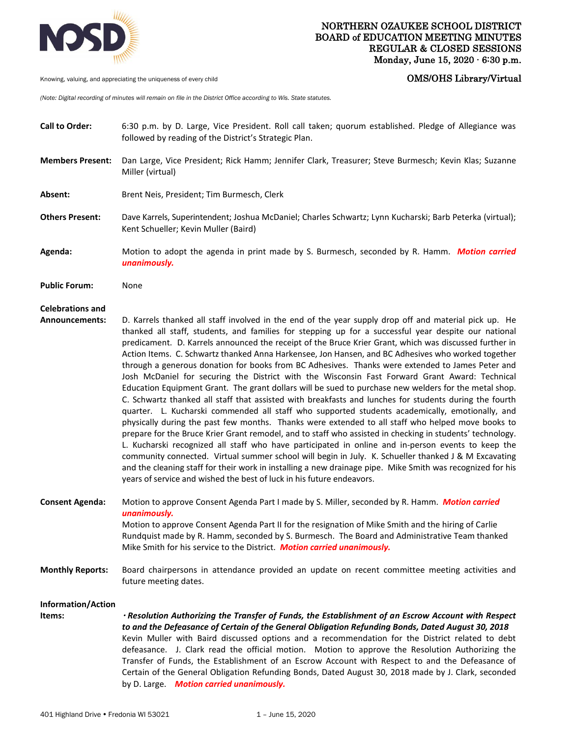

Knowing, valuing, and appreciating the uniqueness of every child **COMS/OUTS** COMS/OHS Library/Virtual

*(Note: Digital recording of minutes will remain on file in the District Office according to Wis. State statutes.* 

followed by reading of the District's Strategic Plan. **Members Present:** Dan Large, Vice President; Rick Hamm; Jennifer Clark, Treasurer; Steve Burmesch; Kevin Klas; Suzanne Miller (virtual) **Absent:** Brent Neis, President; Tim Burmesch, Clerk **Others Present:** Dave Karrels, Superintendent; Joshua McDaniel; Charles Schwartz; Lynn Kucharski; Barb Peterka (virtual); Kent Schueller; Kevin Muller (Baird) **Agenda:** Motion to adopt the agenda in print made by S. Burmesch, seconded by R. Hamm. *Motion carried unanimously.*  **Public Forum:** None **Celebrations and Announcements:** D. Karrels thanked all staff involved in the end of the year supply drop off and material pick up. He thanked all staff, students, and families for stepping up for a successful year despite our national predicament. D. Karrels announced the receipt of the Bruce Krier Grant, which was discussed further in Action Items. C. Schwartz thanked Anna Harkensee, Jon Hansen, and BC Adhesives who worked together through a generous donation for books from BC Adhesives. Thanks were extended to James Peter and Josh McDaniel for securing the District with the Wisconsin Fast Forward Grant Award: Technical Education Equipment Grant. The grant dollars will be sued to purchase new welders for the metal shop. C. Schwartz thanked all staff that assisted with breakfasts and lunches for students during the fourth quarter. L. Kucharski commended all staff who supported students academically, emotionally, and physically during the past few months. Thanks were extended to all staff who helped move books to prepare for the Bruce Krier Grant remodel, and to staff who assisted in checking in students' technology. L. Kucharski recognized all staff who have participated in online and in-person events to keep the community connected. Virtual summer school will begin in July. K. Schueller thanked J & M Excavating and the cleaning staff for their work in installing a new drainage pipe. Mike Smith was recognized for his years of service and wished the best of luck in his future endeavors.

**Call to Order:** 6:30 p.m. by D. Large, Vice President. Roll call taken; quorum established. Pledge of Allegiance was

- **Consent Agenda:** Motion to approve Consent Agenda Part I made by S. Miller, seconded by R. Hamm. *Motion carried unanimously.*  Motion to approve Consent Agenda Part II for the resignation of Mike Smith and the hiring of Carlie Rundquist made by R. Hamm, seconded by S. Burmesch. The Board and Administrative Team thanked Mike Smith for his service to the District. *Motion carried unanimously.*
- **Monthly Reports:** Board chairpersons in attendance provided an update on recent committee meeting activities and future meeting dates.

# **Information/Action**

**Items:** *Resolution Authorizing the Transfer of Funds, the Establishment of an Escrow Account with Respect to and the Defeasance of Certain of the General Obligation Refunding Bonds, Dated August 30, 2018* Kevin Muller with Baird discussed options and a recommendation for the District related to debt defeasance. J. Clark read the official motion. Motion to approve the Resolution Authorizing the Transfer of Funds, the Establishment of an Escrow Account with Respect to and the Defeasance of Certain of the General Obligation Refunding Bonds, Dated August 30, 2018 made by J. Clark, seconded by D. Large. *Motion carried unanimously.*